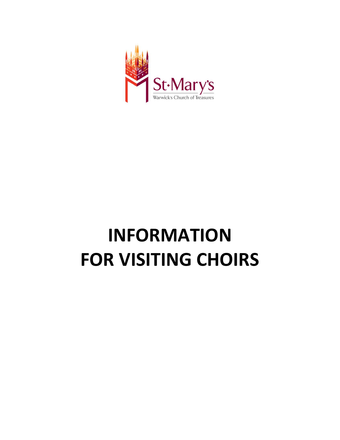

# **INFORMATION FOR VISITING CHOIRS**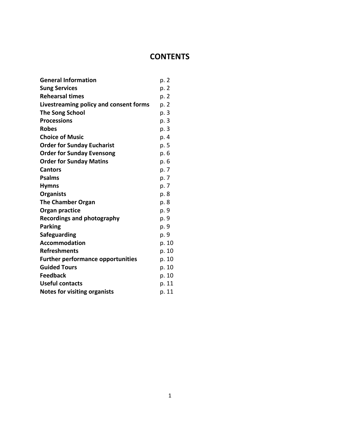# **CONTENTS**

| <b>General Information</b>               | p. 2  |
|------------------------------------------|-------|
| <b>Sung Services</b>                     | p. 2  |
| <b>Rehearsal times</b>                   | p. 2  |
| Livestreaming policy and consent forms   | p. 2  |
| <b>The Song School</b>                   | p. 3  |
| <b>Processions</b>                       | p. 3  |
| <b>Robes</b>                             | p. 3  |
| <b>Choice of Music</b>                   | p. 4  |
| <b>Order for Sunday Eucharist</b>        | p. 5  |
| <b>Order for Sunday Evensong</b>         | p. 6  |
| <b>Order for Sunday Matins</b>           | р. 6  |
| <b>Cantors</b>                           | p. 7  |
| <b>Psalms</b>                            | p. 7  |
| <b>Hymns</b>                             | p. 7  |
| <b>Organists</b>                         | p. 8  |
| The Chamber Organ                        | p. 8  |
| Organ practice                           | p. 9  |
| Recordings and photography               | p. 9  |
| <b>Parking</b>                           | p. 9  |
| Safeguarding                             | p. 9  |
| <b>Accommodation</b>                     | p. 10 |
| <b>Refreshments</b>                      | p. 10 |
| <b>Further performance opportunities</b> | p. 10 |
| <b>Guided Tours</b>                      | p. 10 |
| <b>Feedback</b>                          | p. 10 |
| <b>Useful contacts</b>                   | p. 11 |
| <b>Notes for visiting organists</b>      | p. 11 |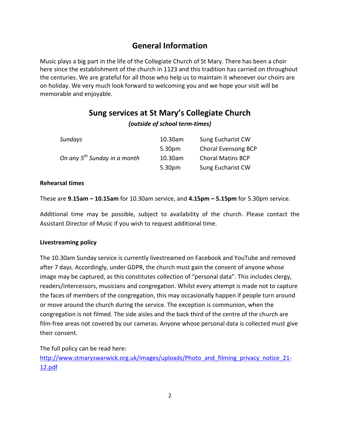# **General Information**

Music plays a big part in the life of the Collegiate Church of St Mary. There has been a choir here since the establishment of the church in 1123 and this tradition has carried on throughout the centuries. We are grateful for all those who help us to maintain it whenever our choirs are on holiday. We very much look forward to welcoming you and we hope your visit will be memorable and enjoyable.

# **Sung services at St Mary's Collegiate Church**

# *(outside of school term-times)*

| Sundays                                  | 10.30am | Sung Eucharist CW        |
|------------------------------------------|---------|--------------------------|
|                                          | 5.30pm  | Choral Evensong BCP      |
| On any 5 <sup>th</sup> Sunday in a month | 10.30am | <b>Choral Matins BCP</b> |
|                                          | 5.30pm  | Sung Eucharist CW        |

# **Rehearsal times**

These are **9.15am – 10.15am** for 10.30am service, and **4.15pm – 5.15pm** for 5.30pm service.

Additional time may be possible, subject to availability of the church. Please contact the Assistant Director of Music if you wish to request additional time.

# **Livestreaming policy**

The 10.30am Sunday service is currently livestreamed on Facebook and YouTube and removed after 7 days. Accordingly, under GDPR, the church must gain the consent of anyone whose image may be captured, as this constitutes collection of "personal data". This includes clergy, readers/intercessors, musicians and congregation. Whilst every attempt is made not to capture the faces of members of the congregation, this may occasionally happen if people turn around or move around the church during the service. The exception is communion, when the congregation is not filmed. The side aisles and the back third of the centre of the church are film-free areas not covered by our cameras. Anyone whose personal data is collected must give their consent.

The full policy can be read here:

[http://www.stmaryswarwick.org.uk/images/uploads/Photo\\_and\\_filming\\_privacy\\_notice\\_21-](http://www.stmaryswarwick.org.uk/images/uploads/Photo_and_filming_privacy_notice_21-12.pdf) [12.pdf](http://www.stmaryswarwick.org.uk/images/uploads/Photo_and_filming_privacy_notice_21-12.pdf)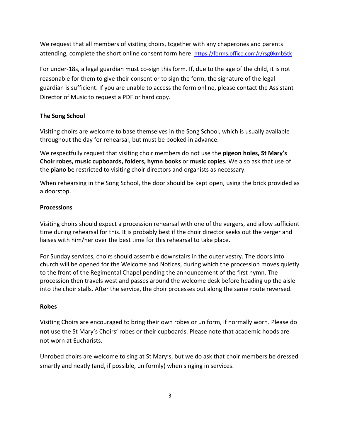We request that all members of visiting choirs, together with any chaperones and parents attending, complete the short online consent form here: <https://forms.office.com/r/rsg0kmb5tk>

For under-18s, a legal guardian must co-sign this form. If, due to the age of the child, it is not reasonable for them to give their consent or to sign the form, the signature of the legal guardian is sufficient. If you are unable to access the form online, please contact the Assistant Director of Music to request a PDF or hard copy.

# **The Song School**

Visiting choirs are welcome to base themselves in the Song School, which is usually available throughout the day for rehearsal, but must be booked in advance.

We respectfully request that visiting choir members do not use the **pigeon holes, St Mary's Choir robes, music cupboards, folders, hymn books** or **music copies***.* We also ask that use of the **piano** be restricted to visiting choir directors and organists as necessary.

When rehearsing in the Song School, the door should be kept open, using the brick provided as a doorstop.

# **Processions**

Visiting choirs should expect a procession rehearsal with one of the vergers, and allow sufficient time during rehearsal for this. It is probably best if the choir director seeks out the verger and liaises with him/her over the best time for this rehearsal to take place.

For Sunday services, choirs should assemble downstairs in the outer vestry. The doors into church will be opened for the Welcome and Notices, during which the procession moves quietly to the front of the Regimental Chapel pending the announcement of the first hymn. The procession then travels west and passes around the welcome desk before heading up the aisle into the choir stalls. After the service, the choir processes out along the same route reversed.

# **Robes**

Visiting Choirs are encouraged to bring their own robes or uniform, if normally worn. Please do **not** use the St Mary's Choirs' robes or their cupboards. Please note that academic hoods are not worn at Eucharists.

Unrobed choirs are welcome to sing at St Mary's, but we do ask that choir members be dressed smartly and neatly (and, if possible, uniformly) when singing in services.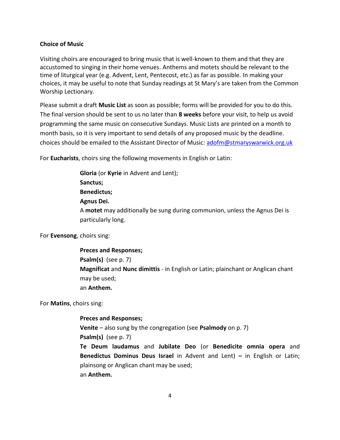#### **Choice of Music**

Visiting choirs are encouraged to bring music that is well-known to them and that they are accustomed to singing in their home venues. Anthems and motets should be relevant to the time of liturgical year (e.g. Advent, Lent, Pentecost, etc.) as far as possible. In making your choices, it may be useful to note that Sunday readings at St Mary's are taken from the Common Worship Lectionary.

Please submit a draft **Music List** as soon as possible; forms will be provided for you to do this. The final version should be sent to us no later than **8 weeks** before your visit, to help us avoid programming the same music on consecutive Sundays. Music Lists are printed on a month to month basis, so it is very important to send details of any proposed music by the deadline. choices should be emailed to the Assistant Director of Music: [adofm@stmaryswarwick.org.uk](mailto:adofm@stmaryswarwick.org.uk)

For **Eucharists**, choirs sing the following movements in English or Latin:

**Gloria** (or **Kyrie** in Advent and Lent); **Sanctus; Benedictus; Agnus Dei.** A **motet** may additionally be sung during communion, unless the Agnus Dei is particularly long.

For **Evensong**, choirs sing:

**Preces and Responses; Psalm(s)** (see p. 7) **Magnificat** and **Nunc dimittis** - in English or Latin; plainchant or Anglican chant may be used; an **Anthem.**

For **Matins**, choirs sing:

#### **Preces and Responses;**

**Venite** – also sung by the congregation (see **Psalmody** on p. 7) **Psalm(s)** (see p. 7)

**Te Deum laudamus** and **Jubilate Deo** (or **Benedicite omnia opera** and **Benedictus Dominus Deus Israel** in Advent and Lent) **–** in English or Latin; plainsong or Anglican chant may be used; an **Anthem.**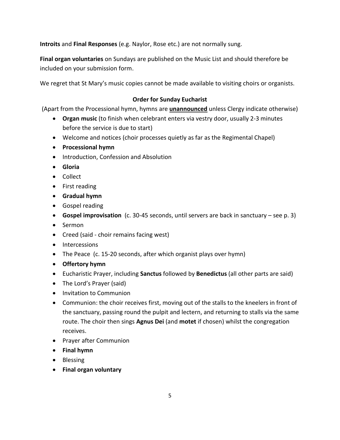**Introits** and **Final Responses** (e.g. Naylor, Rose etc.) are not normally sung.

**Final organ voluntaries** on Sundays are published on the Music List and should therefore be included on your submission form.

We regret that St Mary's music copies cannot be made available to visiting choirs or organists.

# **Order for Sunday Eucharist**

(Apart from the Processional hymn, hymns are **unannounced** unless Clergy indicate otherwise)

- **Organ music** (to finish when celebrant enters via vestry door, usually 2-3 minutes before the service is due to start)
- Welcome and notices (choir processes quietly as far as the Regimental Chapel)
- **Processional hymn**
- Introduction, Confession and Absolution
- **Gloria**
- Collect
- First reading
- **Gradual hymn**
- Gospel reading
- **Gospel improvisation** (c. 30-45 seconds, until servers are back in sanctuary see p. 3)
- Sermon
- Creed (said choir remains facing west)
- Intercessions
- The Peace (c. 15-20 seconds, after which organist plays over hymn)
- **Offertory hymn**
- Eucharistic Prayer, including **Sanctus** followed by **Benedictus** (all other parts are said)
- The Lord's Prayer (said)
- Invitation to Communion
- Communion: the choir receives first, moving out of the stalls to the kneelers in front of the sanctuary, passing round the pulpit and lectern, and returning to stalls via the same route. The choir then sings **Agnus Dei** (and **motet** if chosen) whilst the congregation receives.
- Prayer after Communion
- **Final hymn**
- Blessing
- **Final organ voluntary**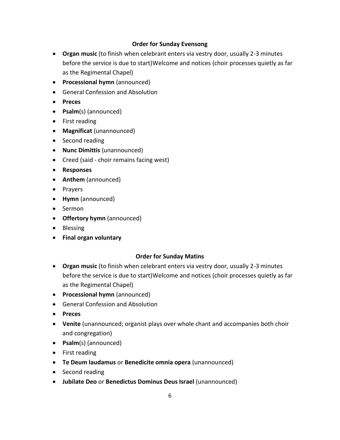# **Order for Sunday Evensong**

- **Organ music** (to finish when celebrant enters via vestry door, usually 2-3 minutes before the service is due to start)Welcome and notices (choir processes quietly as far as the Regimental Chapel)
- **Processional hymn** (announced)
- General Confession and Absolution
- **Preces**
- **Psalm**(s) (announced)
- First reading
- **Magnificat** (unannounced)
- Second reading
- **Nunc Dimittis** (unannounced)
- Creed (said choir remains facing west)
- **Responses**
- **Anthem** (announced)
- Prayers
- **Hymn** (announced)
- Sermon
- **Offertory hymn** (announced)
- Blessing
- **Final organ voluntary**

# **Order for Sunday Matins**

- **Organ music** (to finish when celebrant enters via vestry door, usually 2-3 minutes before the service is due to start)Welcome and notices (choir processes quietly as far as the Regimental Chapel)
- **Processional hymn** (announced)
- General Confession and Absolution
- **Preces**
- **Venite** (unannounced; organist plays over whole chant and accompanies both choir and congregation)
- **Psalm**(s) (announced)
- First reading
- **Te Deum laudamus** or **Benedicite omnia opera** (unannounced)
- Second reading
- **Jubilate Deo** or **Benedictus Dominus Deus Israel** (unannounced)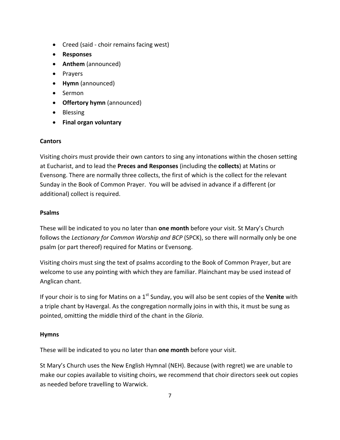- Creed (said choir remains facing west)
- **Responses**
- **Anthem** (announced)
- Prayers
- **Hymn** (announced)
- Sermon
- **Offertory hymn** (announced)
- Blessing
- **Final organ voluntary**

# **Cantors**

Visiting choirs must provide their own cantors to sing any intonations within the chosen setting at Eucharist, and to lead the **Preces and Responses** (including the **collects**) at Matins or Evensong. There are normally three collects, the first of which is the collect for the relevant Sunday in the Book of Common Prayer. You will be advised in advance if a different (or additional) collect is required.

# **Psalms**

These will be indicated to you no later than **one month** before your visit. St Mary's Church follows the *Lectionary for Common Worship and BCP* (SPCK), so there will normally only be one psalm (or part thereof) required for Matins or Evensong.

Visiting choirs must sing the text of psalms according to the Book of Common Prayer, but are welcome to use any pointing with which they are familiar. Plainchant may be used instead of Anglican chant.

If your choir is to sing for Matins on a 1<sup>st</sup> Sunday, you will also be sent copies of the **Venite** with a triple chant by Havergal. As the congregation normally joins in with this, it must be sung as pointed, omitting the middle third of the chant in the *Gloria*.

# **Hymns**

These will be indicated to you no later than **one month** before your visit.

St Mary's Church uses the New English Hymnal (NEH). Because (with regret) we are unable to make our copies available to visiting choirs, we recommend that choir directors seek out copies as needed before travelling to Warwick.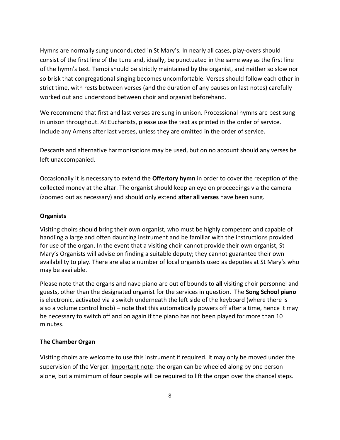Hymns are normally sung unconducted in St Mary's. In nearly all cases, play-overs should consist of the first line of the tune and, ideally, be punctuated in the same way as the first line of the hymn's text. Tempi should be strictly maintained by the organist, and neither so slow nor so brisk that congregational singing becomes uncomfortable. Verses should follow each other in strict time, with rests between verses (and the duration of any pauses on last notes) carefully worked out and understood between choir and organist beforehand.

We recommend that first and last verses are sung in unison. Processional hymns are best sung in unison throughout. At Eucharists, please use the text as printed in the order of service. Include any Amens after last verses, unless they are omitted in the order of service.

Descants and alternative harmonisations may be used, but on no account should any verses be left unaccompanied.

Occasionally it is necessary to extend the **Offertory hymn** in order to cover the reception of the collected money at the altar. The organist should keep an eye on proceedings via the camera (zoomed out as necessary) and should only extend **after all verses** have been sung.

#### **Organists**

Visiting choirs should bring their own organist, who must be highly competent and capable of handling a large and often daunting instrument and be familiar with the instructions provided for use of the organ. In the event that a visiting choir cannot provide their own organist, St Mary's Organists will advise on finding a suitable deputy; they cannot guarantee their own availability to play. There are also a number of local organists used as deputies at St Mary's who may be available.

Please note that the organs and nave piano are out of bounds to **all** visiting choir personnel and guests, other than the designated organist for the services in question. The **Song School piano**  is electronic, activated via a switch underneath the left side of the keyboard (where there is also a volume control knob) – note that this automatically powers off after a time, hence it may be necessary to switch off and on again if the piano has not been played for more than 10 minutes.

#### **The Chamber Organ**

Visiting choirs are welcome to use this instrument if required. It may only be moved under the supervision of the Verger. Important note: the organ can be wheeled along by one person alone, but a mimimum of **four** people will be required to lift the organ over the chancel steps.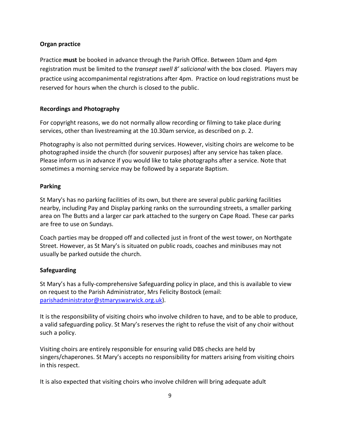### **Organ practice**

Practice **must** be booked in advance through the Parish Office. Between 10am and 4pm registration must be limited to the *transept swell 8' salicional* with the box closed. Players may practice using accompanimental registrations after 4pm. Practice on loud registrations must be reserved for hours when the church is closed to the public.

### **Recordings and Photography**

For copyright reasons, we do not normally allow recording or filming to take place during services, other than livestreaming at the 10.30am service, as described on p. 2.

Photography is also not permitted during services. However, visiting choirs are welcome to be photographed inside the church (for souvenir purposes) after any service has taken place. Please inform us in advance if you would like to take photographs after a service. Note that sometimes a morning service may be followed by a separate Baptism.

### **Parking**

St Mary's has no parking facilities of its own, but there are several public parking facilities nearby, including Pay and Display parking ranks on the surrounding streets, a smaller parking area on The Butts and a larger car park attached to the surgery on Cape Road. These car parks are free to use on Sundays.

Coach parties may be dropped off and collected just in front of the west tower, on Northgate Street. However, as St Mary's is situated on public roads, coaches and minibuses may not usually be parked outside the church.

# **Safeguarding**

St Mary's has a fully-comprehensive Safeguarding policy in place, and this is available to view on request to the Parish Administrator, Mrs Felicity Bostock (email: [parishadministrator@stmaryswarwick.org.uk\)](mailto:parishadministrator@stmaryswarwick.org.uk).

It is the responsibility of visiting choirs who involve children to have, and to be able to produce, a valid safeguarding policy. St Mary's reserves the right to refuse the visit of any choir without such a policy.

Visiting choirs are entirely responsible for ensuring valid DBS checks are held by singers/chaperones. St Mary's accepts no responsibility for matters arising from visiting choirs in this respect.

It is also expected that visiting choirs who involve children will bring adequate adult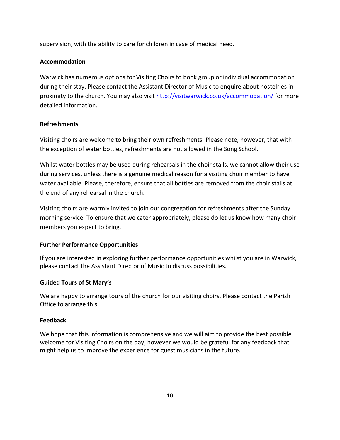supervision, with the ability to care for children in case of medical need.

# **Accommodation**

Warwick has numerous options for Visiting Choirs to book group or individual accommodation during their stay. Please contact the Assistant Director of Music to enquire about hostelries in proximity to the church. You may also visit<http://visitwarwick.co.uk/accommodation/> for more detailed information.

# **Refreshments**

Visiting choirs are welcome to bring their own refreshments. Please note, however, that with the exception of water bottles, refreshments are not allowed in the Song School.

Whilst water bottles may be used during rehearsals in the choir stalls, we cannot allow their use during services, unless there is a genuine medical reason for a visiting choir member to have water available. Please, therefore, ensure that all bottles are removed from the choir stalls at the end of any rehearsal in the church.

Visiting choirs are warmly invited to join our congregation for refreshments after the Sunday morning service. To ensure that we cater appropriately, please do let us know how many choir members you expect to bring.

# **Further Performance Opportunities**

If you are interested in exploring further performance opportunities whilst you are in Warwick, please contact the Assistant Director of Music to discuss possibilities.

# **Guided Tours of St Mary's**

We are happy to arrange tours of the church for our visiting choirs. Please contact the Parish Office to arrange this.

# **Feedback**

We hope that this information is comprehensive and we will aim to provide the best possible welcome for Visiting Choirs on the day, however we would be grateful for any feedback that might help us to improve the experience for guest musicians in the future.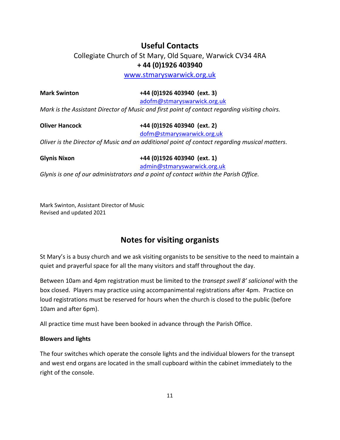# **Useful Contacts**

Collegiate Church of St Mary, Old Square, Warwick CV34 4RA **+ 44 (0)1926 403940**

[www.stmaryswarwick.org.uk](http://www.stmaryswarwick.org.uk/)

**Mark Swinton +44 (0)1926 403940 (ext. 3)**

[adofm@stmaryswarwick.org.uk](mailto:adofm@stmaryswarwick.org.uk)

*Mark is the Assistant Director of Music and first point of contact regarding visiting choirs.*

**Oliver Hancock +44 (0)1926 403940 (ext. 2)**

[dofm@stmaryswarwick.org.uk](mailto:dofm@stmaryswarwick.org.uk)

*Oliver is the Director of Music and an additional point of contact regarding musical matters.*

**Glynis Nixon +44 (0)1926 403940 (ext. 1)**

[admin@stmaryswarwick.org.uk](mailto:admin@stmaryswarwick.org.uk)

*Glynis is one of our administrators and a point of contact within the Parish Office.*

Mark Swinton, Assistant Director of Music Revised and updated 2021

# **Notes for visiting organists**

St Mary's is a busy church and we ask visiting organists to be sensitive to the need to maintain a quiet and prayerful space for all the many visitors and staff throughout the day.

Between 10am and 4pm registration must be limited to the *transept swell 8' salicional* with the box closed. Players may practice using accompanimental registrations after 4pm. Practice on loud registrations must be reserved for hours when the church is closed to the public (before 10am and after 6pm).

All practice time must have been booked in advance through the Parish Office.

# **Blowers and lights**

The four switches which operate the console lights and the individual blowers for the transept and west end organs are located in the small cupboard within the cabinet immediately to the right of the console.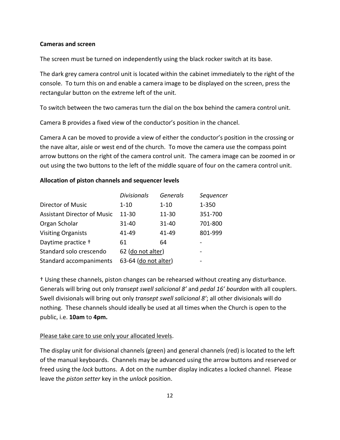#### **Cameras and screen**

The screen must be turned on independently using the black rocker switch at its base.

The dark grey camera control unit is located within the cabinet immediately to the right of the console. To turn this on and enable a camera image to be displayed on the screen, press the rectangular button on the extreme left of the unit.

To switch between the two cameras turn the dial on the box behind the camera control unit.

Camera B provides a fixed view of the conductor's position in the chancel.

Camera A can be moved to provide a view of either the conductor's position in the crossing or the nave altar, aisle or west end of the church. To move the camera use the compass point arrow buttons on the right of the camera control unit. The camera image can be zoomed in or out using the two buttons to the left of the middle square of four on the camera control unit.

#### **Allocation of piston channels and sequencer levels**

|                                    | <b>Divisionals</b>   | <b>Generals</b> | Sequencer |
|------------------------------------|----------------------|-----------------|-----------|
| <b>Director of Music</b>           | $1 - 10$             | $1 - 10$        | 1-350     |
| <b>Assistant Director of Music</b> | $11 - 30$            | $11 - 30$       | 351-700   |
| Organ Scholar                      | 31-40                | $31 - 40$       | 701-800   |
| <b>Visiting Organists</b>          | 41-49                | 41-49           | 801-999   |
| Daytime practice +                 | 61                   | 64              |           |
| Standard solo crescendo            | 62 (do not alter)    |                 | -         |
| Standard accompaniments            | 63-64 (do not alter) |                 |           |

† Using these channels, piston changes can be rehearsed without creating any disturbance. Generals will bring out only *transept swell salicional 8'* and *pedal 16' bourdon* with all couplers. Swell divisionals will bring out only *transept swell salicional 8'*; all other divisionals will do nothing. These channels should ideally be used at all times when the Church is open to the public, i.e. **10am** to **4pm.**

#### Please take care to use only your allocated levels.

The display unit for divisional channels (green) and general channels (red) is located to the left of the manual keyboards. Channels may be advanced using the arrow buttons and reserved or freed using the *lock* buttons. A dot on the number display indicates a locked channel. Please leave the *piston setter* key in the *unlock* position.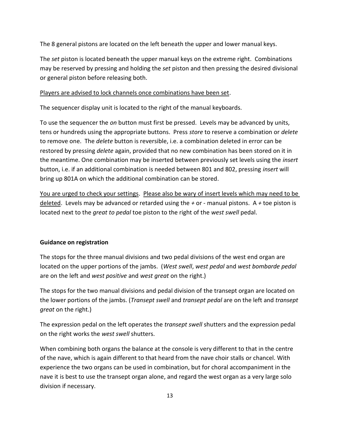The 8 general pistons are located on the left beneath the upper and lower manual keys.

The *set* piston is located beneath the upper manual keys on the extreme right. Combinations may be reserved by pressing and holding the *set* piston and then pressing the desired divisional or general piston before releasing both.

# Players are advised to lock channels once combinations have been set.

The sequencer display unit is located to the right of the manual keyboards.

To use the sequencer the *on* button must first be pressed. Levels may be advanced by units, tens or hundreds using the appropriate buttons. Press *store* to reserve a combination or *delete* to remove one. The *delete* button is reversible, i.e. a combination deleted in error can be restored by pressing *delete* again, provided that no new combination has been stored on it in the meantime. One combination may be inserted between previously set levels using the *insert* button, i.e. if an additional combination is needed between 801 and 802, pressing *insert* will bring up 801A on which the additional combination can be stored.

You are urged to check your settings. Please also be wary of insert levels which may need to be deleted. Levels may be advanced or retarded using the *+* or *-* manual pistons. A *+* toe piston is located next to the *great to pedal* toe piston to the right of the *west swell* pedal.

# **Guidance on registration**

The stops for the three manual divisions and two pedal divisions of the west end organ are located on the upper portions of the jambs. (*West swell*, *west pedal* and *west bombarde pedal* are on the left and *west positive* and *west great* on the right.)

The stops for the two manual divisions and pedal division of the transept organ are located on the lower portions of the jambs. (*Transept swell* and *transept pedal* are on the left and *transept great* on the right.)

The expression pedal on the left operates the *transept swell* shutters and the expression pedal on the right works the *west swell* shutters.

When combining both organs the balance at the console is very different to that in the centre of the nave, which is again different to that heard from the nave choir stalls or chancel. With experience the two organs can be used in combination, but for choral accompaniment in the nave it is best to use the transept organ alone, and regard the west organ as a very large solo division if necessary.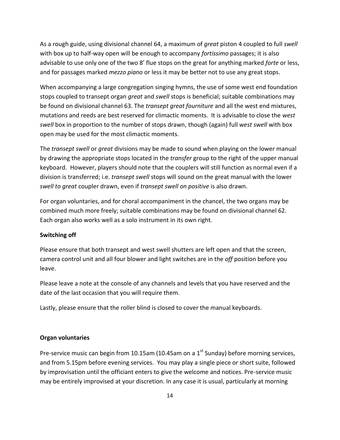As a rough guide, using divisional channel 64, a maximum of *great* piston 4 coupled to full *swell* with box up to half-way open will be enough to accompany *fortissimo* passages; it is also advisable to use only one of the two 8' flue stops on the great for anything marked *forte* or less, and for passages marked *mezzo piano* or less it may be better not to use any great stops.

When accompanying a large congregation singing hymns, the use of some west end foundation stops coupled to transept organ *great* and *swell* stops is beneficial; suitable combinations may be found on divisional channel 63. The *transept great fourniture* and all the west end mixtures, mutations and reeds are best reserved for climactic moments. It is advisable to close the *west swell* box in proportion to the number of stops drawn, though (again) full *west swell* with box open may be used for the most climactic moments.

The *transept swell* or *great* divisions may be made to sound when playing on the lower manual by drawing the appropriate stops located in the *transfer* group to the right of the upper manual keyboard. However, players should note that the couplers will still function as normal even if a division is transferred; i.e. *transept swell* stops will sound on the great manual with the lower *swell to great* coupler drawn, even if *transept swell on positive* is also drawn.

For organ voluntaries, and for choral accompaniment in the chancel, the two organs may be combined much more freely; suitable combinations may be found on divisional channel 62. Each organ also works well as a solo instrument in its own right.

#### **Switching off**

Please ensure that both transept and west swell shutters are left open and that the screen, camera control unit and all four blower and light switches are in the *off* position before you leave.

Please leave a note at the console of any channels and levels that you have reserved and the date of the last occasion that you will require them.

Lastly, please ensure that the roller blind is closed to cover the manual keyboards.

#### **Organ voluntaries**

Pre-service music can begin from 10.15am (10.45am on a  $1<sup>st</sup>$  Sunday) before morning services, and from 5.15pm before evening services. You may play a single piece or short suite, followed by improvisation until the officiant enters to give the welcome and notices. Pre-service music may be entirely improvised at your discretion. In any case it is usual, particularly at morning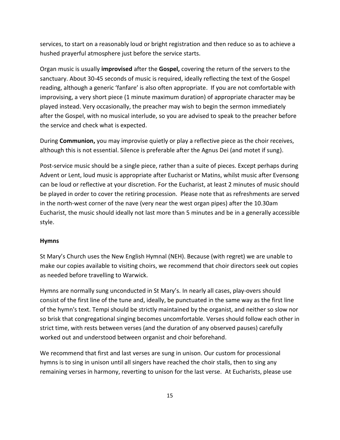services, to start on a reasonably loud or bright registration and then reduce so as to achieve a hushed prayerful atmosphere just before the service starts.

Organ music is usually **improvised** after the **Gospel,** covering the return of the servers to the sanctuary. About 30-45 seconds of music is required, ideally reflecting the text of the Gospel reading, although a generic 'fanfare' is also often appropriate. If you are not comfortable with improvising, a very short piece (1 minute maximum duration) of appropriate character may be played instead. Very occasionally, the preacher may wish to begin the sermon immediately after the Gospel, with no musical interlude, so you are advised to speak to the preacher before the service and check what is expected.

During **Communion,** you may improvise quietly or play a reflective piece as the choir receives, although this is not essential. Silence is preferable after the Agnus Dei (and motet if sung).

Post-service music should be a single piece, rather than a suite of pieces. Except perhaps during Advent or Lent, loud music is appropriate after Eucharist or Matins, whilst music after Evensong can be loud or reflective at your discretion. For the Eucharist, at least 2 minutes of music should be played in order to cover the retiring procession. Please note that as refreshments are served in the north-west corner of the nave (very near the west organ pipes) after the 10.30am Eucharist, the music should ideally not last more than 5 minutes and be in a generally accessible style.

#### **Hymns**

St Mary's Church uses the New English Hymnal (NEH). Because (with regret) we are unable to make our copies available to visiting choirs, we recommend that choir directors seek out copies as needed before travelling to Warwick.

Hymns are normally sung unconducted in St Mary's. In nearly all cases, play-overs should consist of the first line of the tune and, ideally, be punctuated in the same way as the first line of the hymn's text. Tempi should be strictly maintained by the organist, and neither so slow nor so brisk that congregational singing becomes uncomfortable. Verses should follow each other in strict time, with rests between verses (and the duration of any observed pauses) carefully worked out and understood between organist and choir beforehand.

We recommend that first and last verses are sung in unison. Our custom for processional hymns is to sing in unison until all singers have reached the choir stalls, then to sing any remaining verses in harmony, reverting to unison for the last verse. At Eucharists, please use